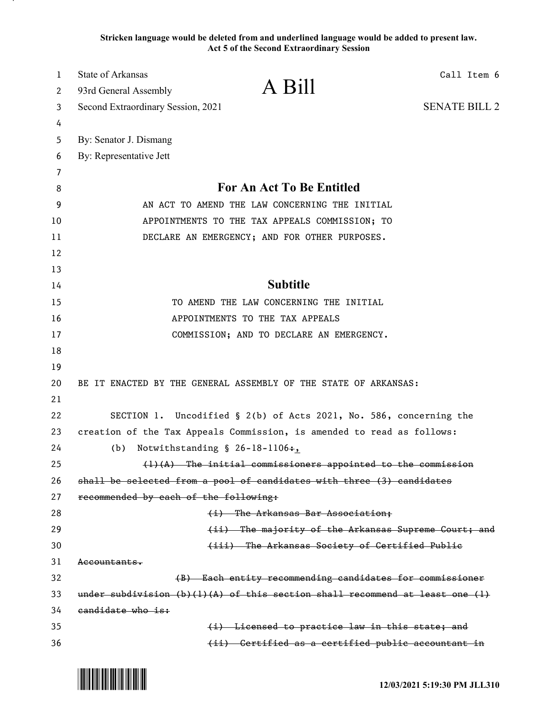**Stricken language would be deleted from and underlined language would be added to present law. Act 5 of the Second Extraordinary Session**

| 1  | State of Arkansas                                                                      |                                                                    | Call Item 6          |  |
|----|----------------------------------------------------------------------------------------|--------------------------------------------------------------------|----------------------|--|
| 2  | 93rd General Assembly                                                                  | A Bill                                                             |                      |  |
| 3  | Second Extraordinary Session, 2021                                                     |                                                                    | <b>SENATE BILL 2</b> |  |
| 4  |                                                                                        |                                                                    |                      |  |
| 5  | By: Senator J. Dismang                                                                 |                                                                    |                      |  |
| 6  | By: Representative Jett                                                                |                                                                    |                      |  |
| 7  |                                                                                        |                                                                    |                      |  |
| 8  | For An Act To Be Entitled                                                              |                                                                    |                      |  |
| 9  | AN ACT TO AMEND THE LAW CONCERNING THE INITIAL                                         |                                                                    |                      |  |
| 10 |                                                                                        | APPOINTMENTS TO THE TAX APPEALS COMMISSION; TO                     |                      |  |
| 11 |                                                                                        | DECLARE AN EMERGENCY; AND FOR OTHER PURPOSES.                      |                      |  |
| 12 |                                                                                        |                                                                    |                      |  |
| 13 |                                                                                        |                                                                    |                      |  |
| 14 | <b>Subtitle</b>                                                                        |                                                                    |                      |  |
| 15 | TO AMEND THE LAW CONCERNING THE INITIAL                                                |                                                                    |                      |  |
| 16 | APPOINTMENTS TO THE TAX APPEALS                                                        |                                                                    |                      |  |
| 17 |                                                                                        | COMMISSION; AND TO DECLARE AN EMERGENCY.                           |                      |  |
| 18 |                                                                                        |                                                                    |                      |  |
| 19 |                                                                                        |                                                                    |                      |  |
| 20 | BE IT ENACTED BY THE GENERAL ASSEMBLY OF THE STATE OF ARKANSAS:                        |                                                                    |                      |  |
| 21 |                                                                                        |                                                                    |                      |  |
| 22 |                                                                                        | SECTION 1. Uncodified § 2(b) of Acts 2021, No. 586, concerning the |                      |  |
| 23 | creation of the Tax Appeals Commission, is amended to read as follows:                 |                                                                    |                      |  |
| 24 | Notwithstanding $$26-18-1106+$ ,<br>(b)                                                |                                                                    |                      |  |
| 25 | $(1)$ $(A)$ The initial commissioners appointed to the commission                      |                                                                    |                      |  |
| 26 | shall be selected from a pool of candidates with three (3) candidates                  |                                                                    |                      |  |
| 27 | recommended by each of the following:                                                  |                                                                    |                      |  |
| 28 |                                                                                        | (i) The Arkansas Bar Association;                                  |                      |  |
| 29 |                                                                                        | (ii) The majority of the Arkansas Supreme Court; and               |                      |  |
| 30 |                                                                                        | (iii) The Arkansas Society of Certified Publie                     |                      |  |
| 31 | <del>Accountants.</del>                                                                |                                                                    |                      |  |
| 32 | (B) Each entity recommending candidates for commissioner                               |                                                                    |                      |  |
| 33 | under subdivision $(b)$ $(1)$ $(A)$ of this section shall recommend at least one $(1)$ |                                                                    |                      |  |
| 34 | candidate who is:                                                                      |                                                                    |                      |  |
| 35 |                                                                                        | (i) Licensed to practice law in this state; and                    |                      |  |
| 36 |                                                                                        | (ii) Certified as a certified public accountant in                 |                      |  |